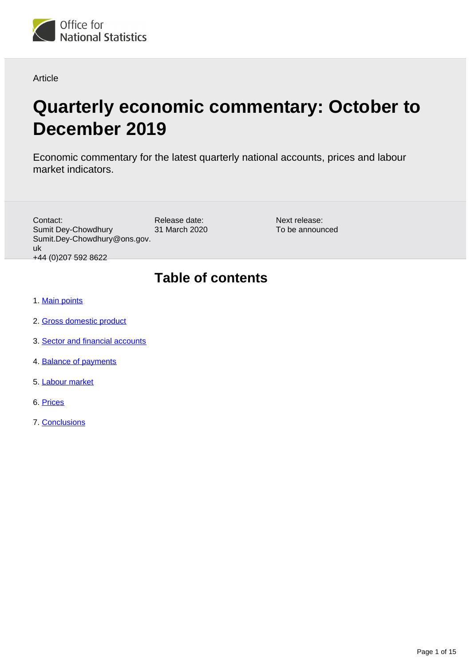

Article

# **Quarterly economic commentary: October to December 2019**

Economic commentary for the latest quarterly national accounts, prices and labour market indicators.

| Contact:<br>Sumit Dey-Chowdhury<br>Sumit.Dey-Chowdhury@ons.gov.<br>uk<br>+44 (0) 207 592 8622 | Release date:<br>31 March 2020 | Next release:<br>To be announced |
|-----------------------------------------------------------------------------------------------|--------------------------------|----------------------------------|
| <b>A. Martin martin La</b>                                                                    | <b>Table of contents</b>       |                                  |

- 1. [Main points](#page-1-0)
- 2. [Gross domestic product](#page-1-1)
- 3. [Sector and financial accounts](#page-7-0)
- 4. [Balance of payments](#page-9-0)
- 5. [Labour market](#page-11-0)
- 6. [Prices](#page-12-0)
- 7. [Conclusions](#page-13-0)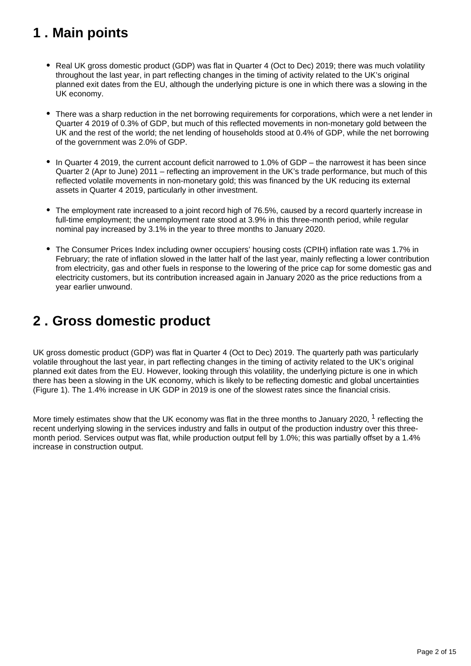## <span id="page-1-0"></span>**1 . Main points**

- Real UK gross domestic product (GDP) was flat in Quarter 4 (Oct to Dec) 2019; there was much volatility throughout the last year, in part reflecting changes in the timing of activity related to the UK's original planned exit dates from the EU, although the underlying picture is one in which there was a slowing in the UK economy.
- There was a sharp reduction in the net borrowing requirements for corporations, which were a net lender in Quarter 4 2019 of 0.3% of GDP, but much of this reflected movements in non-monetary gold between the UK and the rest of the world; the net lending of households stood at 0.4% of GDP, while the net borrowing of the government was 2.0% of GDP.
- $\bullet$  In Quarter 4 2019, the current account deficit narrowed to 1.0% of GDP the narrowest it has been since Quarter 2 (Apr to June) 2011 – reflecting an improvement in the UK's trade performance, but much of this reflected volatile movements in non-monetary gold; this was financed by the UK reducing its external assets in Quarter 4 2019, particularly in other investment.
- The employment rate increased to a joint record high of 76.5%, caused by a record quarterly increase in full-time employment; the unemployment rate stood at 3.9% in this three-month period, while regular nominal pay increased by 3.1% in the year to three months to January 2020.
- The Consumer Prices Index including owner occupiers' housing costs (CPIH) inflation rate was 1.7% in February; the rate of inflation slowed in the latter half of the last year, mainly reflecting a lower contribution from electricity, gas and other fuels in response to the lowering of the price cap for some domestic gas and electricity customers, but its contribution increased again in January 2020 as the price reductions from a year earlier unwound.

## <span id="page-1-1"></span>**2 . Gross domestic product**

UK gross domestic product (GDP) was flat in Quarter 4 (Oct to Dec) 2019. The quarterly path was particularly volatile throughout the last year, in part reflecting changes in the timing of activity related to the UK's original planned exit dates from the EU. However, looking through this volatility, the underlying picture is one in which there has been a slowing in the UK economy, which is likely to be reflecting domestic and global uncertainties (Figure 1). The 1.4% increase in UK GDP in 2019 is one of the slowest rates since the financial crisis.

More timely estimates show that the UK economy was flat in the three months to January 2020,  $1$  reflecting the recent underlying slowing in the services industry and falls in output of the production industry over this threemonth period. Services output was flat, while production output fell by 1.0%; this was partially offset by a 1.4% increase in construction output.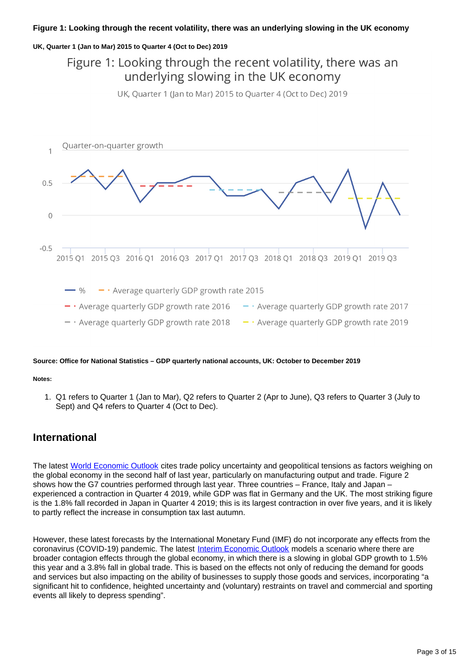### **Figure 1: Looking through the recent volatility, there was an underlying slowing in the UK economy**

### **UK, Quarter 1 (Jan to Mar) 2015 to Quarter 4 (Oct to Dec) 2019**

## Figure 1: Looking through the recent volatility, there was an underlying slowing in the UK economy

UK, Quarter 1 (Jan to Mar) 2015 to Quarter 4 (Oct to Dec) 2019



### **Source: Office for National Statistics – GDP quarterly national accounts, UK: October to December 2019**

#### **Notes:**

1. Q1 refers to Quarter 1 (Jan to Mar), Q2 refers to Quarter 2 (Apr to June), Q3 refers to Quarter 3 (July to Sept) and Q4 refers to Quarter 4 (Oct to Dec).

## **International**

The latest [World Economic Outlook](https://www.imf.org/en/Publications/WEO/Issues/2020/01/20/weo-update-january2020) cites trade policy uncertainty and geopolitical tensions as factors weighing on the global economy in the second half of last year, particularly on manufacturing output and trade. Figure 2 shows how the G7 countries performed through last year. Three countries – France, Italy and Japan – experienced a contraction in Quarter 4 2019, while GDP was flat in Germany and the UK. The most striking figure is the 1.8% fall recorded in Japan in Quarter 4 2019; this is its largest contraction in over five years, and it is likely to partly reflect the increase in consumption tax last autumn.

However, these latest forecasts by the International Monetary Fund (IMF) do not incorporate any effects from the coronavirus (COVID-19) pandemic. The latest [Interim Economic Outlook](https://www.oecd.org/economic-outlook/) models a scenario where there are broader contagion effects through the global economy, in which there is a slowing in global GDP growth to 1.5% this year and a 3.8% fall in global trade. This is based on the effects not only of reducing the demand for goods and services but also impacting on the ability of businesses to supply those goods and services, incorporating "a significant hit to confidence, heighted uncertainty and (voluntary) restraints on travel and commercial and sporting events all likely to depress spending".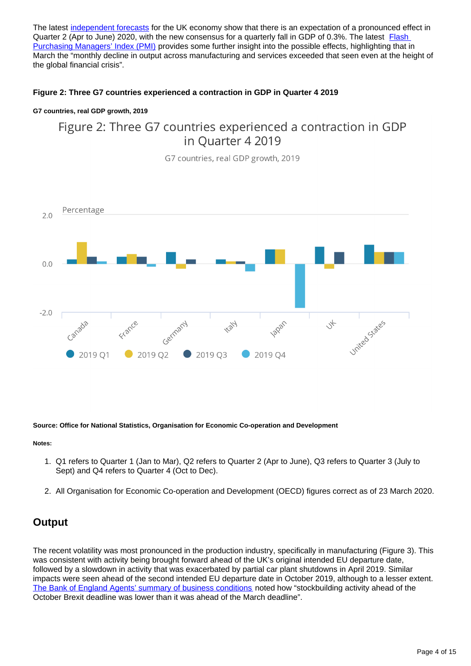The latest [independent forecasts](https://www.gov.uk/government/collections/data-forecasts) for the UK economy show that there is an expectation of a pronounced effect in Quarter 2 (Apr to June) 2020, with the new consensus for a quarterly fall in GDP of 0.3%. The latest **Flash** [Purchasing Managers' Index \(PMI\)](https://www.markiteconomics.com/Public/Home/PressRelease/0f164ac0128b429ea1c329104afd62c3) provides some further insight into the possible effects, highlighting that in March the "monthly decline in output across manufacturing and services exceeded that seen even at the height of the global financial crisis".

## **Figure 2: Three G7 countries experienced a contraction in GDP in Quarter 4 2019**

### **G7 countries, real GDP growth, 2019**

## Figure 2: Three G7 countries experienced a contraction in GDP in Ouarter 4 2019

G7 countries, real GDP growth, 2019



### **Source: Office for National Statistics, Organisation for Economic Co-operation and Development**

#### **Notes:**

- 1. Q1 refers to Quarter 1 (Jan to Mar), Q2 refers to Quarter 2 (Apr to June), Q3 refers to Quarter 3 (July to Sept) and Q4 refers to Quarter 4 (Oct to Dec).
- 2. All Organisation for Economic Co-operation and Development (OECD) figures correct as of 23 March 2020.

## **Output**

The recent volatility was most pronounced in the production industry, specifically in manufacturing (Figure 3). This was consistent with activity being brought forward ahead of the UK's original intended EU departure date, followed by a slowdown in activity that was exacerbated by partial car plant shutdowns in April 2019. Similar impacts were seen ahead of the second intended EU departure date in October 2019, although to a lesser extent. [The Bank of England Agents' summary of business conditions](https://www.bankofengland.co.uk/agents-summary/2019/2019-q4) noted how "stockbuilding activity ahead of the October Brexit deadline was lower than it was ahead of the March deadline".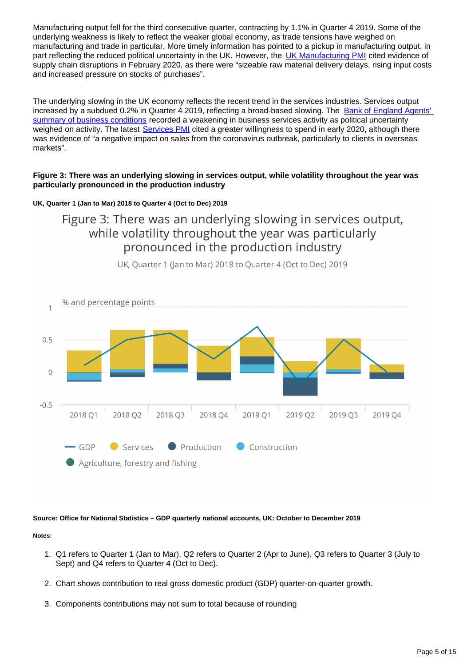Manufacturing output fell for the third consecutive quarter, contracting by 1.1% in Quarter 4 2019. Some of the underlying weakness is likely to reflect the weaker global economy, as trade tensions have weighed on manufacturing and trade in particular. More timely information has pointed to a pickup in manufacturing output, in part reflecting the reduced political uncertainty in the UK. However, the [UK Manufacturing PMI](https://www.markiteconomics.com/Public/Home/PressRelease/3d7196f32dad4d0fbb9cf21e88ee5bd2) cited evidence of supply chain disruptions in February 2020, as there were "sizeable raw material delivery delays, rising input costs and increased pressure on stocks of purchases".

The underlying slowing in the UK economy reflects the recent trend in the services industries. Services output increased by a subdued 0.2% in Quarter 4 2019, reflecting a broad-based slowing. The Bank of England Agents' [summary of business conditions](https://www.bankofengland.co.uk/agents-summary/2019/2019-q4) recorded a weakening in business services activity as political uncertainty weighed on activity. The latest [Services PMI](https://www.markiteconomics.com/Public/Home/PressRelease/0bb6d38cbd5d469da68dfc13ed14541e) cited a greater willingness to spend in early 2020, although there was evidence of "a negative impact on sales from the coronavirus outbreak, particularly to clients in overseas markets".

## **Figure 3: There was an underlying slowing in services output, while volatility throughout the year was particularly pronounced in the production industry**

## **UK, Quarter 1 (Jan to Mar) 2018 to Quarter 4 (Oct to Dec) 2019**

Figure 3: There was an underlying slowing in services output, while volatility throughout the year was particularly pronounced in the production industry



UK, Quarter 1 (Jan to Mar) 2018 to Quarter 4 (Oct to Dec) 2019

**Source: Office for National Statistics – GDP quarterly national accounts, UK: October to December 2019**

### **Notes:**

- 1. Q1 refers to Quarter 1 (Jan to Mar), Q2 refers to Quarter 2 (Apr to June), Q3 refers to Quarter 3 (July to Sept) and Q4 refers to Quarter 4 (Oct to Dec).
- 2. Chart shows contribution to real gross domestic product (GDP) quarter-on-quarter growth.
- 3. Components contributions may not sum to total because of rounding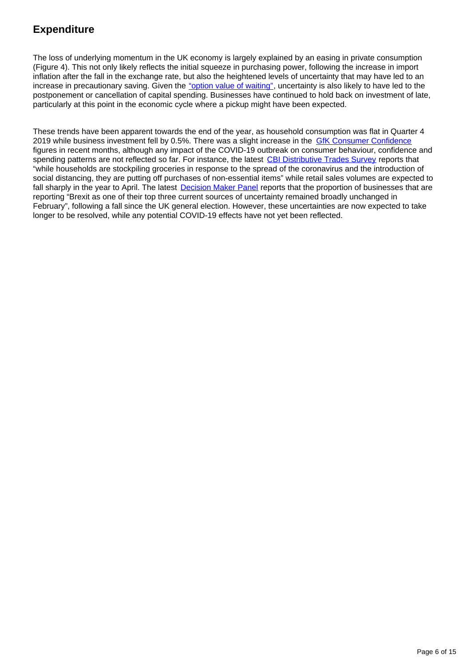## **Expenditure**

The loss of underlying momentum in the UK economy is largely explained by an easing in private consumption (Figure 4). This not only likely reflects the initial squeeze in purchasing power, following the increase in import inflation after the fall in the exchange rate, but also the heightened levels of uncertainty that may have led to an increase in precautionary saving. Given the ["option value of waiting",](https://www.bankofengland.co.uk/-/media/boe/files/speech/2019/investment-and-uncertainty-the-value-of-waiting-for-news-speech-by-ben-broadbent) uncertainty is also likely to have led to the postponement or cancellation of capital spending. Businesses have continued to hold back on investment of late, particularly at this point in the economic cycle where a pickup might have been expected.

These trends have been apparent towards the end of the year, as household consumption was flat in Quarter 4 2019 while business investment fell by 0.5%. There was a slight increase in the **[GfK Consumer Confidence](https://www.gfk.com/en-gb/insights/press-release/uk-consumer-confidence-improves-by-two-points-to-7-for-february-2020/)** figures in recent months, although any impact of the COVID-19 outbreak on consumer behaviour, confidence and spending patterns are not reflected so far. For instance, the latest [CBI Distributive Trades Survey](https://www.cbi.org.uk/media-centre/articles/stockpiling-props-up-retail-sales-in-march-but-volumes-expected-to-slide/) reports that "while households are stockpiling groceries in response to the spread of the coronavirus and the introduction of social distancing, they are putting off purchases of non-essential items" while retail sales volumes are expected to fall sharply in the year to April. The latest **[Decision Maker Panel](https://www.bankofengland.co.uk/decision-maker-panel/2020/february-2020) reports that the proportion of businesses that are** reporting "Brexit as one of their top three current sources of uncertainty remained broadly unchanged in February", following a fall since the UK general election. However, these uncertainties are now expected to take longer to be resolved, while any potential COVID-19 effects have not yet been reflected.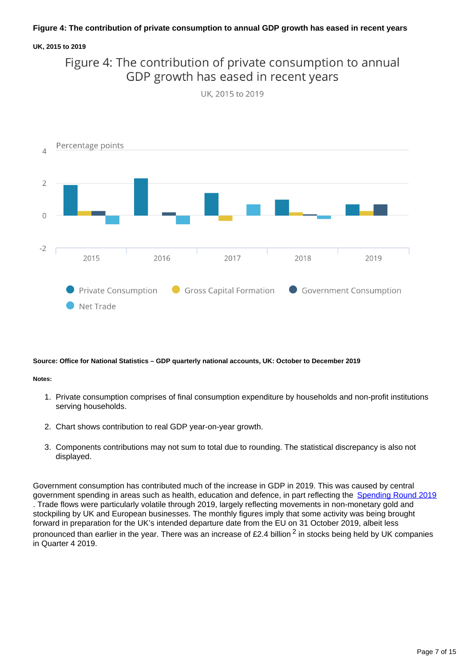### **UK, 2015 to 2019**



UK. 2015 to 2019



#### **Source: Office for National Statistics – GDP quarterly national accounts, UK: October to December 2019**

#### **Notes:**

- 1. Private consumption comprises of final consumption expenditure by households and non-profit institutions serving households.
- 2. Chart shows contribution to real GDP year-on-year growth.
- 3. Components contributions may not sum to total due to rounding. The statistical discrepancy is also not displayed.

Government consumption has contributed much of the increase in GDP in 2019. This was caused by central government spending in areas such as health, education and defence, in part reflecting the [Spending Round 2019](https://assets.publishing.service.gov.uk/government/uploads/system/uploads/attachment_data/file/829177/Spending_Round_2019_web.pdf) . Trade flows were particularly volatile through 2019, largely reflecting movements in non-monetary gold and stockpiling by UK and European businesses. The monthly figures imply that some activity was being brought forward in preparation for the UK's intended departure date from the EU on 31 October 2019, albeit less pronounced than earlier in the year. There was an increase of £2.4 billion  $^2$  in stocks being held by UK companies in Quarter 4 2019.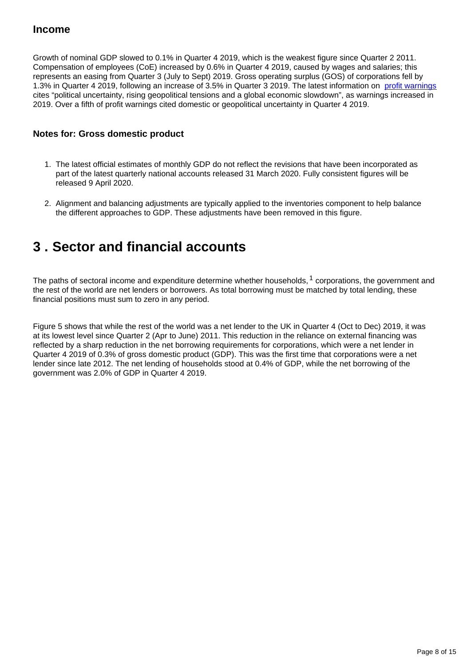## **Income**

Growth of nominal GDP slowed to 0.1% in Quarter 4 2019, which is the weakest figure since Quarter 2 2011. Compensation of employees (CoE) increased by 0.6% in Quarter 4 2019, caused by wages and salaries; this represents an easing from Quarter 3 (July to Sept) 2019. Gross operating surplus (GOS) of corporations fell by 1.3% in Quarter 4 2019, following an increase of 3.5% in Quarter 3 2019. The latest information on [profit warnings](https://www.ey.com/en_uk/transactions/profit-warnings) cites "political uncertainty, rising geopolitical tensions and a global economic slowdown", as warnings increased in 2019. Over a fifth of profit warnings cited domestic or geopolitical uncertainty in Quarter 4 2019.

## **Notes for: Gross domestic product**

- 1. The latest official estimates of monthly GDP do not reflect the revisions that have been incorporated as part of the latest quarterly national accounts released 31 March 2020. Fully consistent figures will be released 9 April 2020.
- 2. Alignment and balancing adjustments are typically applied to the inventories component to help balance the different approaches to GDP. These adjustments have been removed in this figure.

## <span id="page-7-0"></span>**3 . Sector and financial accounts**

The paths of sectoral income and expenditure determine whether households,  $1$  corporations, the government and the rest of the world are net lenders or borrowers. As total borrowing must be matched by total lending, these financial positions must sum to zero in any period.

Figure 5 shows that while the rest of the world was a net lender to the UK in Quarter 4 (Oct to Dec) 2019, it was at its lowest level since Quarter 2 (Apr to June) 2011. This reduction in the reliance on external financing was reflected by a sharp reduction in the net borrowing requirements for corporations, which were a net lender in Quarter 4 2019 of 0.3% of gross domestic product (GDP). This was the first time that corporations were a net lender since late 2012. The net lending of households stood at 0.4% of GDP, while the net borrowing of the government was 2.0% of GDP in Quarter 4 2019.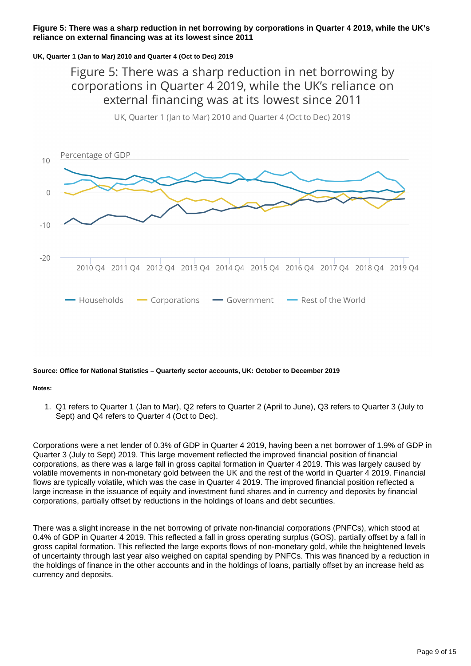### **Figure 5: There was a sharp reduction in net borrowing by corporations in Quarter 4 2019, while the UK's reliance on external financing was at its lowest since 2011**

### **UK, Quarter 1 (Jan to Mar) 2010 and Quarter 4 (Oct to Dec) 2019**

Figure 5: There was a sharp reduction in net borrowing by corporations in Quarter 4 2019, while the UK's reliance on external financing was at its lowest since 2011



UK, Quarter 1 (Jan to Mar) 2010 and Quarter 4 (Oct to Dec) 2019

## **Source: Office for National Statistics – Quarterly sector accounts, UK: October to December 2019**

#### **Notes:**

1. Q1 refers to Quarter 1 (Jan to Mar), Q2 refers to Quarter 2 (April to June), Q3 refers to Quarter 3 (July to Sept) and Q4 refers to Quarter 4 (Oct to Dec).

Corporations were a net lender of 0.3% of GDP in Quarter 4 2019, having been a net borrower of 1.9% of GDP in Quarter 3 (July to Sept) 2019. This large movement reflected the improved financial position of financial corporations, as there was a large fall in gross capital formation in Quarter 4 2019. This was largely caused by volatile movements in non-monetary gold between the UK and the rest of the world in Quarter 4 2019. Financial flows are typically volatile, which was the case in Quarter 4 2019. The improved financial position reflected a large increase in the issuance of equity and investment fund shares and in currency and deposits by financial corporations, partially offset by reductions in the holdings of loans and debt securities.

There was a slight increase in the net borrowing of private non-financial corporations (PNFCs), which stood at 0.4% of GDP in Quarter 4 2019. This reflected a fall in gross operating surplus (GOS), partially offset by a fall in gross capital formation. This reflected the large exports flows of non-monetary gold, while the heightened levels of uncertainty through last year also weighed on capital spending by PNFCs. This was financed by a reduction in the holdings of finance in the other accounts and in the holdings of loans, partially offset by an increase held as currency and deposits.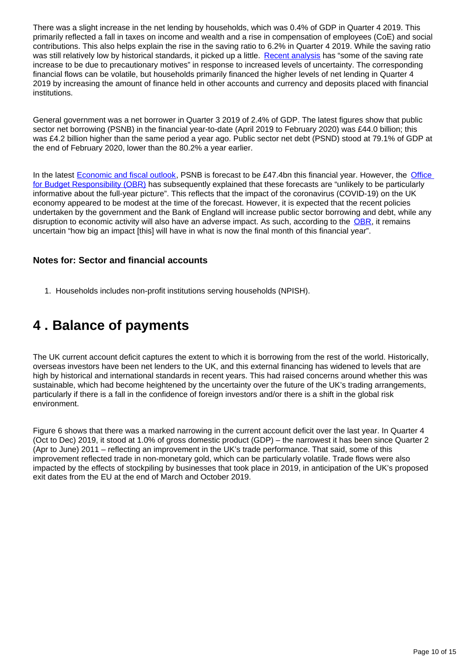There was a slight increase in the net lending by households, which was 0.4% of GDP in Quarter 4 2019. This primarily reflected a fall in taxes on income and wealth and a rise in compensation of employees (CoE) and social contributions. This also helps explain the rise in the saving ratio to 6.2% in Quarter 4 2019. While the saving ratio was still relatively low by historical standards, it picked up a little. [Recent analysis](https://www.bankofengland.co.uk/-/media/boe/files/speech/2019/an-end-of-year-retrospective-on-the-uk-outlook-and-monetary-policy-speech-by-jonathan-haskel.pdf?la=en&hash=5E0C72BA4C6F52F7BE6F6C933203683E3A614EF4) has "some of the saving rate increase to be due to precautionary motives" in response to increased levels of uncertainty. The corresponding financial flows can be volatile, but households primarily financed the higher levels of net lending in Quarter 4 2019 by increasing the amount of finance held in other accounts and currency and deposits placed with financial institutions.

General government was a net borrower in Quarter 3 2019 of 2.4% of GDP. The latest figures show that public sector net borrowing (PSNB) in the financial year-to-date (April 2019 to February 2020) was £44.0 billion; this was £4.2 billion higher than the same period a year ago. Public sector net debt (PSND) stood at 79.1% of GDP at the end of February 2020, lower than the 80.2% a year earlier.

In the latest [Economic and fiscal outlook,](https://cdn.obr.uk/EFO_March-2020_Accessible.pdf) PSNB is forecast to be £47.4bn this financial year. However, the Office [for Budget Responsibility \(OBR\)](https://obr.uk/docs/Mar-2020-PSF-Commentary.pdf) has subsequently explained that these forecasts are "unlikely to be particularly informative about the full-year picture". This reflects that the impact of the coronavirus (COVID-19) on the UK economy appeared to be modest at the time of the forecast. However, it is expected that the recent policies undertaken by the government and the Bank of England will increase public sector borrowing and debt, while any disruption to economic activity will also have an adverse impact. As such, according to the [OBR,](https://obr.uk/docs/Mar-2020-PSF-Commentary.pdf) it remains uncertain "how big an impact [this] will have in what is now the final month of this financial year".

## **Notes for: Sector and financial accounts**

1. Households includes non-profit institutions serving households (NPISH).

## <span id="page-9-0"></span>**4 . Balance of payments**

The UK current account deficit captures the extent to which it is borrowing from the rest of the world. Historically, overseas investors have been net lenders to the UK, and this external financing has widened to levels that are high by historical and international standards in recent years. This had raised concerns around whether this was sustainable, which had become heightened by the uncertainty over the future of the UK's trading arrangements, particularly if there is a fall in the confidence of foreign investors and/or there is a shift in the global risk environment.

Figure 6 shows that there was a marked narrowing in the current account deficit over the last year. In Quarter 4 (Oct to Dec) 2019, it stood at 1.0% of gross domestic product (GDP) – the narrowest it has been since Quarter 2 (Apr to June) 2011 – reflecting an improvement in the UK's trade performance. That said, some of this improvement reflected trade in non-monetary gold, which can be particularly volatile. Trade flows were also impacted by the effects of stockpiling by businesses that took place in 2019, in anticipation of the UK's proposed exit dates from the EU at the end of March and October 2019.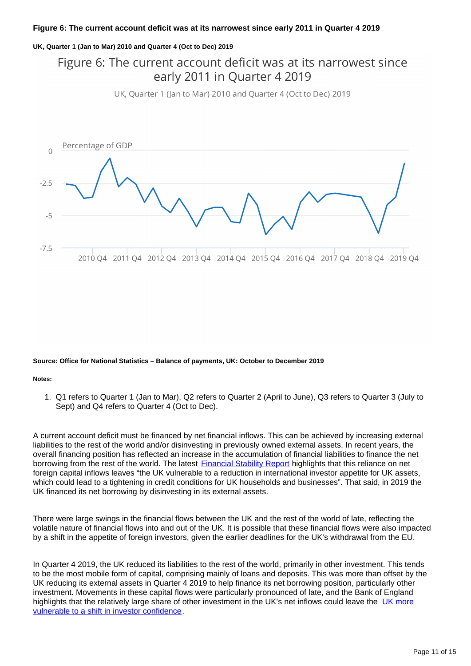### **Figure 6: The current account deficit was at its narrowest since early 2011 in Quarter 4 2019**

### **UK, Quarter 1 (Jan to Mar) 2010 and Quarter 4 (Oct to Dec) 2019**

## Figure 6: The current account deficit was at its narrowest since early 2011 in Quarter 4 2019

UK, Quarter 1 (Jan to Mar) 2010 and Quarter 4 (Oct to Dec) 2019



#### **Source: Office for National Statistics – Balance of payments, UK: October to December 2019**

#### **Notes:**

1. Q1 refers to Quarter 1 (Jan to Mar), Q2 refers to Quarter 2 (April to June), Q3 refers to Quarter 3 (July to Sept) and Q4 refers to Quarter 4 (Oct to Dec).

A current account deficit must be financed by net financial inflows. This can be achieved by increasing external liabilities to the rest of the world and/or disinvesting in previously owned external assets. In recent years, the overall financing position has reflected an increase in the accumulation of financial liabilities to finance the net borrowing from the rest of the world. The latest [Financial Stability Report](https://www.bankofengland.co.uk/-/media/boe/files/financial-stability-report/2019/december-2019.pdf?la=en&hash=4A650CF0FB871B5094C614C99689D9AD930CAA01) highlights that this reliance on net foreign capital inflows leaves "the UK vulnerable to a reduction in international investor appetite for UK assets, which could lead to a tightening in credit conditions for UK households and businesses". That said, in 2019 the UK financed its net borrowing by disinvesting in its external assets.

There were large swings in the financial flows between the UK and the rest of the world of late, reflecting the volatile nature of financial flows into and out of the UK. It is possible that these financial flows were also impacted by a shift in the appetite of foreign investors, given the earlier deadlines for the UK's withdrawal from the EU.

In Quarter 4 2019, the UK reduced its liabilities to the rest of the world, primarily in other investment. This tends to be the most mobile form of capital, comprising mainly of loans and deposits. This was more than offset by the UK reducing its external assets in Quarter 4 2019 to help finance its net borrowing position, particularly other investment. Movements in these capital flows were particularly pronounced of late, and the Bank of England highlights that the relatively large share of other investment in the UK's net inflows could leave the UK more [vulnerable to a shift in investor confidence](https://www.bankofengland.co.uk/-/media/boe/files/financial-stability-report/2019/december-2019.pdf?la=en&hash=4A650CF0FB871B5094C614C99689D9AD930CAA01).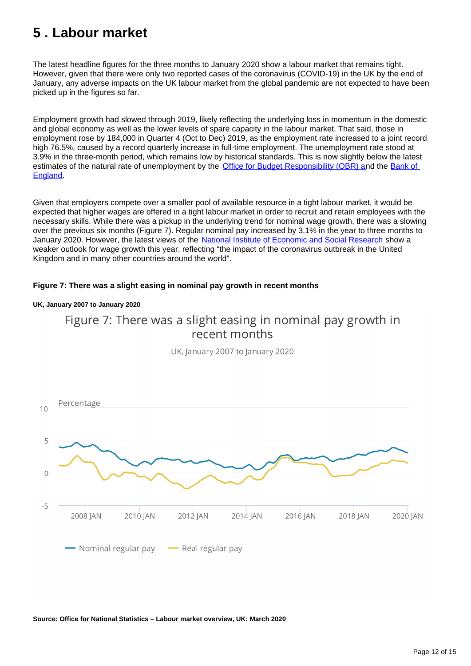## <span id="page-11-0"></span>**5 . Labour market**

The latest headline figures for the three months to January 2020 show a labour market that remains tight. However, given that there were only two reported cases of the coronavirus (COVID-19) in the UK by the end of January, any adverse impacts on the UK labour market from the global pandemic are not expected to have been picked up in the figures so far.

Employment growth had slowed through 2019, likely reflecting the underlying loss in momentum in the domestic and global economy as well as the lower levels of spare capacity in the labour market. That said, those in employment rose by 184,000 in Quarter 4 (Oct to Dec) 2019, as the employment rate increased to a joint record high 76.5%, caused by a record quarterly increase in full-time employment. The unemployment rate stood at 3.9% in the three-month period, which remains low by historical standards. This is now slightly below the latest estimates of the natural rate of unemployment by the [Office for Budget Responsibility \(OBR\) a](https://cdn.obr.uk/EFO_March-2020_Accessible.pdf)nd the Bank of [England.](https://www.bankofengland.co.uk/-/media/boe/files/monetary-policy-report/2020/january/monetary-policy-report-january-2020.pdf)

Given that employers compete over a smaller pool of available resource in a tight labour market, it would be expected that higher wages are offered in a tight labour market in order to recruit and retain employees with the necessary skills. While there was a pickup in the underlying trend for nominal wage growth, there was a slowing over the previous six months (Figure 7). Regular nominal pay increased by 3.1% in the year to three months to January 2020. However, the latest views of the [National Institute of Economic and Social Research](https://www.niesr.ac.uk/sites/default/files/publications/NIESR%20Wage%20Tracker%20March%202020%20Full%20Document_0.pdf) show a weaker outlook for wage growth this year, reflecting "the impact of the coronavirus outbreak in the United Kingdom and in many other countries around the world".

## **Figure 7: There was a slight easing in nominal pay growth in recent months**

### **UK, January 2007 to January 2020**



UK, lanuary 2007 to lanuary 2020



**Source: Office for National Statistics – Labour market overview, UK: March 2020**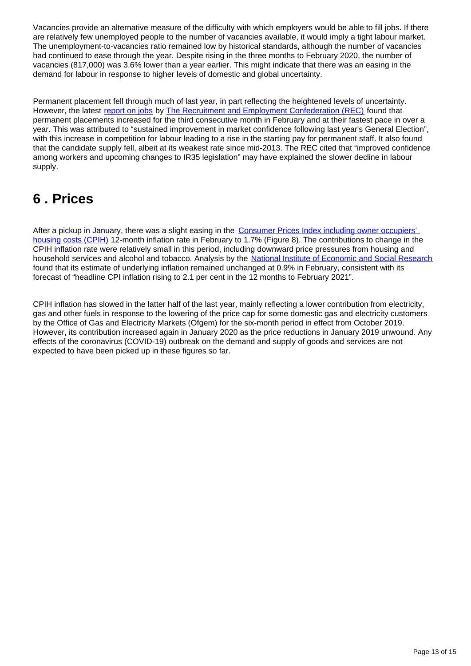Vacancies provide an alternative measure of the difficulty with which employers would be able to fill jobs. If there are relatively few unemployed people to the number of vacancies available, it would imply a tight labour market. The unemployment-to-vacancies ratio remained low by historical standards, although the number of vacancies had continued to ease through the year. Despite rising in the three months to February 2020, the number of vacancies (817,000) was 3.6% lower than a year earlier. This might indicate that there was an easing in the demand for labour in response to higher levels of domestic and global uncertainty.

Permanent placement fell through much of last year, in part reflecting the heightened levels of uncertainty. However, the latest [report on jobs](https://www.rec.uk.com/news-and-policy/press-releases/permanent-staff-appointments-drop-again-amid-election-and-brexit-uncertainty) by [The Recruitment and Employment Confederation \(REC\)](https://www.rec.uk.com/news-and-policy/press-releases/permanent-placements-rise-at-quickest-rate-for-14-months-as-demand-for-staff-improves) found that permanent placements increased for the third consecutive month in February and at their fastest pace in over a year. This was attributed to "sustained improvement in market confidence following last year's General Election", with this increase in competition for labour leading to a rise in the starting pay for permanent staff. It also found that the candidate supply fell, albeit at its weakest rate since mid-2013. The REC cited that "improved confidence among workers and upcoming changes to IR35 legislation" may have explained the slower decline in labour supply.

## <span id="page-12-0"></span>**6 . Prices**

After a pickup in January, there was a slight easing in the Consumer Prices Index including owner occupiers' [housing costs \(CPIH\)](https://www.ons.gov.uk/economy/inflationandpriceindices/bulletins/consumerpriceinflation/february2020) 12-month inflation rate in February to 1.7% (Figure 8). The contributions to change in the CPIH inflation rate were relatively small in this period, including downward price pressures from housing and household services and alcohol and tobacco. Analysis by the [National Institute of Economic and Social Research](https://www.niesr.ac.uk/sites/default/files/publications/CPI0320.pdf) found that its estimate of underlying inflation remained unchanged at 0.9% in February, consistent with its forecast of "headline CPI inflation rising to 2.1 per cent in the 12 months to February 2021".

CPIH inflation has slowed in the latter half of the last year, mainly reflecting a lower contribution from electricity, gas and other fuels in response to the lowering of the price cap for some domestic gas and electricity customers by the Office of Gas and Electricity Markets (Ofgem) for the six-month period in effect from October 2019. However, its contribution increased again in January 2020 as the price reductions in January 2019 unwound. Any effects of the coronavirus (COVID-19) outbreak on the demand and supply of goods and services are not expected to have been picked up in these figures so far.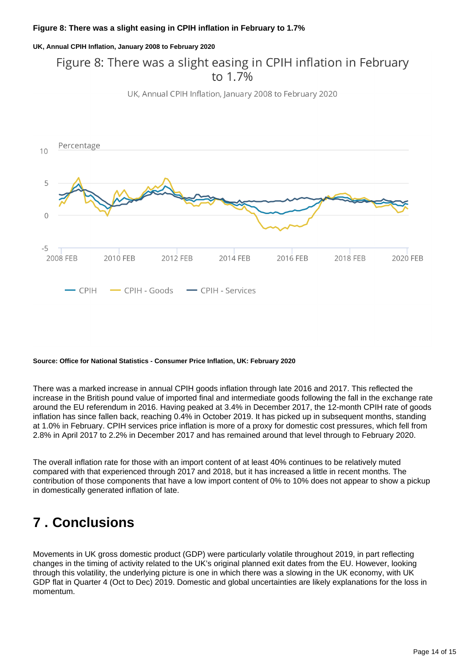**UK, Annual CPIH Inflation, January 2008 to February 2020**

## Figure 8: There was a slight easing in CPIH inflation in February to 1 7%





### **Source: Office for National Statistics - Consumer Price Inflation, UK: February 2020**

There was a marked increase in annual CPIH goods inflation through late 2016 and 2017. This reflected the increase in the British pound value of imported final and intermediate goods following the fall in the exchange rate around the EU referendum in 2016. Having peaked at 3.4% in December 2017, the 12-month CPIH rate of goods inflation has since fallen back, reaching 0.4% in October 2019. It has picked up in subsequent months, standing at 1.0% in February. CPIH services price inflation is more of a proxy for domestic cost pressures, which fell from 2.8% in April 2017 to 2.2% in December 2017 and has remained around that level through to February 2020.

The overall inflation rate for those with an import content of at least 40% continues to be relatively muted compared with that experienced through 2017 and 2018, but it has increased a little in recent months. The contribution of those components that have a low import content of 0% to 10% does not appear to show a pickup in domestically generated inflation of late.

## <span id="page-13-0"></span>**7 . Conclusions**

Movements in UK gross domestic product (GDP) were particularly volatile throughout 2019, in part reflecting changes in the timing of activity related to the UK's original planned exit dates from the EU. However, looking through this volatility, the underlying picture is one in which there was a slowing in the UK economy, with UK GDP flat in Quarter 4 (Oct to Dec) 2019. Domestic and global uncertainties are likely explanations for the loss in momentum.